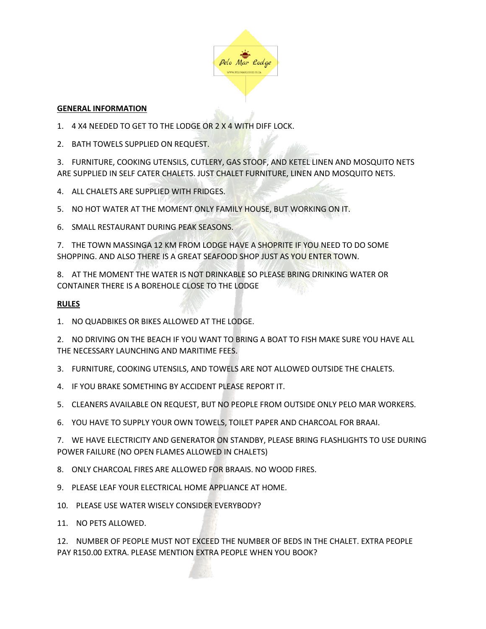

## **GENERAL INFORMATION**

- 1. 4 X4 NEEDED TO GET TO THE LODGE OR 2 X 4 WITH DIFF LOCK.
- 2. BATH TOWELS SUPPLIED ON REQUEST.

3. FURNITURE, COOKING UTENSILS, CUTLERY, GAS STOOF, AND KETEL LINEN AND MOSQUITO NETS ARE SUPPLIED IN SELF CATER CHALETS. JUST CHALET FURNITURE, LINEN AND MOSQUITO NETS.

- 4. ALL CHALETS ARE SUPPLIED WITH FRIDGES.
- 5. NO HOT WATER AT THE MOMENT ONLY FAMILY HOUSE, BUT WORKING ON IT.
- 6. SMALL RESTAURANT DURING PEAK SEASONS.

7. THE TOWN MASSINGA 12 KM FROM LODGE HAVE A SHOPRITE IF YOU NEED TO DO SOME SHOPPING. AND ALSO THERE IS A GREAT SEAFOOD SHOP JUST AS YOU ENTER TOWN.

8. AT THE MOMENT THE WATER IS NOT DRINKABLE SO PLEASE BRING DRINKING WATER OR CONTAINER THERE IS A BOREHOLE CLOSE TO THE LODGE

## **RULES**

1. NO QUADBIKES OR BIKES ALLOWED AT THE LODGE.

2. NO DRIVING ON THE BEACH IF YOU WANT TO BRING A BOAT TO FISH MAKE SURE YOU HAVE ALL THE NECESSARY LAUNCHING AND MARITIME FEES.

- 3. FURNITURE, COOKING UTENSILS, AND TOWELS ARE NOT ALLOWED OUTSIDE THE CHALETS.
- 4. IF YOU BRAKE SOMETHING BY ACCIDENT PLEASE REPORT IT.
- 5. CLEANERS AVAILABLE ON REQUEST, BUT NO PEOPLE FROM OUTSIDE ONLY PELO MAR WORKERS.
- 6. YOU HAVE TO SUPPLY YOUR OWN TOWELS, TOILET PAPER AND CHARCOAL FOR BRAAI.

7. WE HAVE ELECTRICITY AND GENERATOR ON STANDBY, PLEASE BRING FLASHLIGHTS TO USE DURING POWER FAILURE (NO OPEN FLAMES ALLOWED IN CHALETS)

- 8. ONLY CHARCOAL FIRES ARE ALLOWED FOR BRAAIS. NO WOOD FIRES.
- 9. PLEASE LEAF YOUR ELECTRICAL HOME APPLIANCE AT HOME.
- 10. PLEASE USE WATER WISELY CONSIDER EVERYBODY?
- 11. NO PETS ALLOWED.

12. NUMBER OF PEOPLE MUST NOT EXCEED THE NUMBER OF BEDS IN THE CHALET. EXTRA PEOPLE PAY R150.00 EXTRA. PLEASE MENTION EXTRA PEOPLE WHEN YOU BOOK?